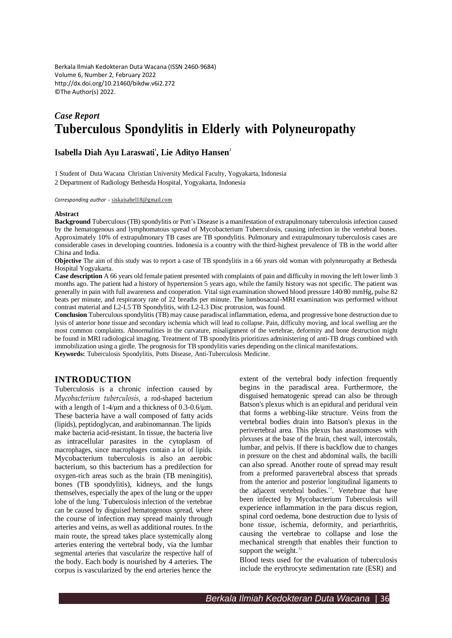Berkala Ilmiah Kedokteran Duta Wacana (ISSN 2460-9684) Volume 6, Number 2, February 2022 <http://dx.doi.org/10.21460/bikdw.v6i2.272> ©The Author(s) 2022.

# *Case Report* **Tuberculous Spondylitis in Elderly with Polyneuropathy**

# **Isabella Diah Ayu Laraswati 1 , Lie Adityo Hansen 2**

1 Student of Duta Wacana Christian University Medical Faculty, Yogyakarta, Indonesia 2 Department of Radiology Bethesda Hospital, Yogyakarta, Indonesia

*Corresponding author* - [siskaisabel18@gmail.com](mailto:siskaisabel18@gmail.com)

#### **Abstract**

**Background** Tuberculous (TB) spondylitis or Pott's Disease is a manifestation of extrapulmonary tuberculosis infection caused by the hematogenous and lymphomatous spread of Mycobacterium Tuberculosis, causing infection in the vertebral bones. Approximately 10% of extrapulmonary TB cases are TB spondylitis. Pulmonary and extrapulmonary tuberculosis cases are considerable cases in developing countries. Indonesia is a country with the third-highest prevalence of TB in the world after China and India.

**Objective** The aim of this study was to report a case of TB spondylitis in a 66 years old woman with polyneuropathy at Bethesda Hospital Yogyakarta.

**Case description** A 66 years old female patient presented with complaints of pain and difficulty in moving the left lower limb 3 months ago. The patient had a history of hypertension 5 years ago, while the family history was not specific. The patient was generally in pain with full awareness and cooperation. Vital sign examination showed blood pressure 140/80 mmHg, pulse 82 beats per minute, and respiratory rate of 22 breaths per minute. The lumbosacral-MRI examination was performed without contrast material and L2-L5 TB Spondylitis, with L2-L3 Disc protrusion, was found.

**Conclusion** Tuberculous spondylitis (TB) may cause paradiscal inflammation, edema, and progressive bone destruction due to lysis of anterior bone tissue and secondary ischemia which will lead to collapse. Pain, difficulty moving, and local swelling are the most common complaints. Abnormalities in the curvature, misalignment of the vertebrae, deformity and bone destruction might be found in MRI radiological imaging. Treatment of TB spondylitis prioritizes administering of anti-TB drugs combined with immobilization using a girdle. The prognosis for TB spondylitis varies depending on the clinical manifestations. **Keywords:** Tuberculosis Spondylitis, Potts Disease, Anti-Tuberculosis Medicine.

#### **INTRODUCTION**

Tuberculosis is a chronic infection caused by *Mycobacterium tuberculosis*, a rod-shaped bacterium with a length of  $1-4/\mu m$  and a thickness of 0.3-0.6/ $\mu$ m. These bacteria have a wall composed of fatty acids (lipids), peptidoglycan, and arabinomannan. The lipids make bacteria acid-resistant. In tissue, the bacteria live as intracellular parasites in the cytoplasm of macrophages, since macrophages contain a lot of lipids. Mycobacterium tuberculosis is also an aerobic bacterium, so this bacterium has a predilection for oxygen-rich areas such as the brain (TB meningitis), bones (TB spondylitis), kidneys, and the lungs themselves, especially the apex of the lung or the upper lobe of the lung.<sup>1</sup> Tuberculosis infection of the vertebrae can be caused by disguised hematogenous spread, where the course of infection may spread mainly through arteries and veins, as well as additional routes. In the main route, the spread takes place systemically along arteries entering the vertebral body, via the lumbar segmental arteries that vascularize the respective half of the body. Each body is nourished by 4 arteries. The corpus is vascularized by the end arteries hence the

extent of the vertebral body infection frequently begins in the paradiscal area. Furthermore, the disguised hematogenic spread can also be through Batson's plexus which is an epidural and peridural vein that forms a webbing-like structure. Veins from the vertebral bodies drain into Batson's plexus in the perivertebral area. This plexus has anastomoses with plexuses at the base of the brain, chest wall, intercostals, lumbar, and pelvis. If there is backflow due to changes in pressure on the chest and abdominal walls, the bacilli can also spread. Another route of spread may result from a preformed paravertebral abscess that spreads from the anterior and posterior longitudinal ligaments to the adjacent vertebral bodies.<sup>23</sup>. Vertebrae that have been infected by Mycobacterium Tuberculosis will experience inflammation in the para discus region, spinal cord oedema, bone destruction due to lysis of bone tissue, ischemia, deformity, and periarthritis, causing the vertebrae to collapse and lose the mechanical strength that enables their function to support the weight. $45$ 

Blood tests used for the evaluation of tuberculosis include the erythrocyte sedimentation rate (ESR) and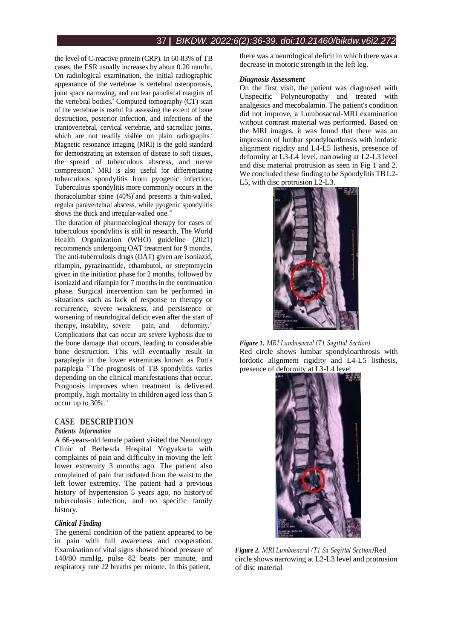the level of C-reactive protein (CRP). In 60-83% of TB cases, the ESR usually increases by about 0.20 mm/hr. On radiological examination, the initial radiographic appearance of the vertebrae is vertebral osteoporosis, joint space narrowing, and unclear paradiscal margins of the vertebral bodies.<sup>6</sup> Computed tomography (CT) scan of the vertebrae is useful for assessing the extent of bone destruction, posterior infection, and infections of the craniovertebral, cervical vertebrae, and sacroiliac joints, which are not readily visible on plain radiographs.<sup>7</sup> Magnetic resonance imaging (MRI) is the gold standard for demonstrating an extension of disease to soft tissues, the spread of tuberculous abscess, and nerve compression. <sup>8</sup>MRI is also useful for differentiating tuberculous spondylitis from pyogenic infection. Tuberculous spondylitis more commonly occurs in the thoracolumbar spine (40%) 9 and presents a thin-walled, regular paravertebral abscess, while pyogenic spondylitis shows the thick and irregular-walled one.<sup>10</sup>

The duration of pharmacological therapy for cases of tuberculous spondylitis is still in research, The World Health Organization (WHO) guideline (2021) recommends undergoing OAT treatment for 9 months. The anti-tuberculosis drugs (OAT) given are isoniazid, rifampin, pyrazinamide, ethambutol, or streptomycin given in the initiation phase for 2 months, followed by isoniazid and rifampin for 7 months in the continuation phase. Surgical intervention can be performed in situations such as lack of response to therapy or recurrence, severe weakness, and persistence or worsening of neurological deficit even after the start of therapy, instability, severe pain, and deformity.<sup>11</sup> Complications that can occur are severe kyphosis due to the bone damage that occurs, leading to considerable bone destruction. This will eventually result in paraplegia in the lower extremities known as Pott's paraplegia<sup>12</sup> The prognosis of TB spondylitis varies depending on the clinical manifestations that occur. Prognosis improves when treatment is delivered promptly, high mortality in children aged less than 5 occur up to 30%. 13

# **CASE DESCRIPTION**

#### *Patients Information*

A 66-years-old female patient visited the Neurology Clinic of Bethesda Hospital Yogyakarta with complaints of pain and difficulty in moving the left lower extremity 3 months ago. The patient also complained of pain that radiated from the waist to the left lower extremity. The patient had a previous history of hypertension 5 years ago, no historyof tuberculosis infection, and no specific family history.

#### *Clinical Finding*

The general condition of the patient appeared to be in pain with full awareness and cooperation. Examination of vital signs showed blood pressure of 140/80 mmHg, pulse 82 beats per minute, and respiratory rate 22 breaths per minute. In this patient,

there was a neurological deficit in which there was a decrease in motoric strength in the left leg.

#### *Diagnosis Assessment*

On the first visit, the patient was diagnosed with Unspecific Polyneuropathy and treated with analgesics and mecobalamin. The patient's condition did not improve, a Lumbosacral-MRI examination without contrast material was performed. Based on the MRI images, it was found that there was an impression of lumbar spondyloarthrosis with lordotic alignment rigidity and L4-L5 listhesis, presence of deformity at L3-L4 level, narrowing at L2-L3 level and disc material protrusion as seen in Fig 1 and 2. We concluded these finding to be Spondylitis TBL2- L5, with disc protrusion L2-L3.







*Figure 2. MRI Lumbosacral (T1 Sa Sagittal Section)*Red circle shows narrowing at L2-L3 level and protrusion of disc material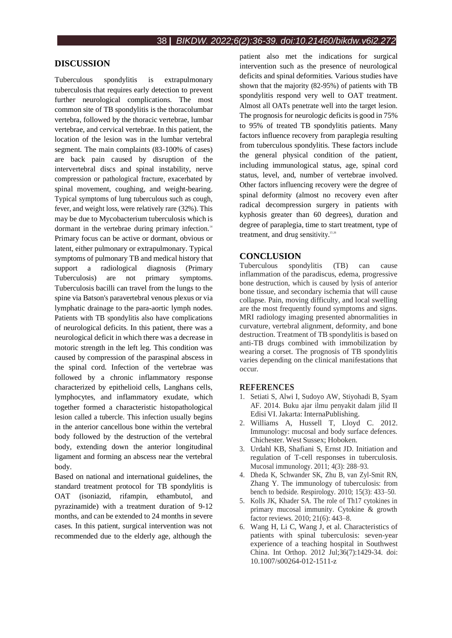# **DISCUSSION**

Tuberculous spondylitis is extrapulmonary tuberculosis that requires early detection to prevent further neurological complications. The most common site of TB spondylitis is the thoracolumbar vertebra, followed by the thoracic vertebrae, lumbar vertebrae, and cervical vertebrae. In this patient, the location of the lesion was in the lumbar vertebral segment. The main complaints (83-100% of cases) are back pain caused by disruption of the intervertebral discs and spinal instability, nerve compression or pathological fracture, exacerbated by spinal movement, coughing, and weight-bearing. Typical symptoms of lung tuberculous such as cough, fever, and weight loss, were relatively rare (32%). This may be due to Mycobacterium tuberculosis which is dormant in the vertebrae during primary infection.<sup>14</sup> Primary focus can be active or dormant, obvious or latent, either pulmonary or extrapulmonary. Typical symptoms of pulmonary TB and medical history that support a radiological diagnosis (Primary Tuberculosis) are not primary symptoms. Tuberculosis bacilli can travel from the lungs to the spine via Batson's paravertebral venous plexus or via lymphatic drainage to the para-aortic lymph nodes. Patients with TB spondylitis also have complications of neurological deficits. In this patient, there was a neurological deficit in which there was a decrease in motoric strength in the left leg. This condition was caused by compression of the paraspinal abscess in the spinal cord. Infection of the vertebrae was followed by a chronic inflammatory response characterized by epithelioid cells, Langhans cells, lymphocytes, and inflammatory exudate, which together formed a characteristic histopathological lesion called a tubercle. This infection usually begins in the anterior cancellous bone within the vertebral body followed by the destruction of the vertebral body, extending down the anterior longitudinal ligament and forming an abscess near the vertebral body.

Based on national and international guidelines, the standard treatment protocol for TB spondylitis is OAT (isoniazid, rifampin, ethambutol, and pyrazinamide) with a treatment duration of 9-12 months, and can be extended to 24 months in severe cases. In this patient, surgical intervention was not recommended due to the elderly age, although the

patient also met the indications for surgical intervention such as the presence of neurological deficits and spinal deformities. Various studies have shown that the majority (82-95%) of patients with TB spondylitis respond very well to OAT treatment. Almost all OATs penetrate well into the target lesion. The prognosis for neurologic deficits is good in 75% to 95% of treated TB spondylitis patients. Many factors influence recovery from paraplegia resulting from tuberculous spondylitis. These factors include the general physical condition of the patient, including immunological status, age, spinal cord status, level, and, number of vertebrae involved. Other factors influencing recovery were the degree of spinal deformity (almost no recovery even after radical decompression surgery in patients with kyphosis greater than 60 degrees), duration and degree of paraplegia, time to start treatment, type of treatment, and drug sensitivity.<sup>15,16</sup>

### **CONCLUSION**

Tuberculous spondylitis (TB) can cause inflammation of the paradiscus, edema, progressive bone destruction, which is caused by lysis of anterior bone tissue, and secondary ischemia that will cause collapse. Pain, moving difficulty, and local swelling are the most frequently found symptoms and signs. MRI radiology imaging presented abnormalities in curvature, vertebral alignment, deformity, and bone destruction. Treatment of TB spondylitis is based on anti-TB drugs combined with immobilization by wearing a corset. The prognosis of TB spondylitis varies depending on the clinical manifestations that occur.

#### **REFERENCES**

- 1. Setiati S, Alwi I, Sudoyo AW, Stiyohadi B, Syam AF. 2014. Buku ajar ilmu penyakit dalam jilid II Edisi VI.Jakarta: InternaPublishing.
- 2. Williams A, Hussell T, Lloyd C. 2012. Immunology: mucosal and body surface defences. Chichester. West Sussex; Hoboken.
- 3. Urdahl KB, Shafiani S, Ernst JD. Initiation and regulation of T-cell responses in tuberculosis. Mucosal immunology. 2011; 4(3): 288–93.
- 4. Dheda K, Schwander SK, Zhu B, van Zyl-Smit RN, Zhang Y. The immunology of tuberculosis: from bench to bedside. Respirology. 2010; 15(3): 433–50.
- 5. Kolls JK, Khader SA. The role of Th17 cytokines in primary mucosal immunity. Cytokine & growth factor reviews. 2010; 21(6): 443–8.
- 6. Wang H, Li C, Wang J, et al. Characteristics of patients with spinal tuberculosis: seven-year experience of a teaching hospital in Southwest China. Int Orthop. 2012 Jul;36(7):1429-34. doi: 10.1007/s00264-012-1511-z